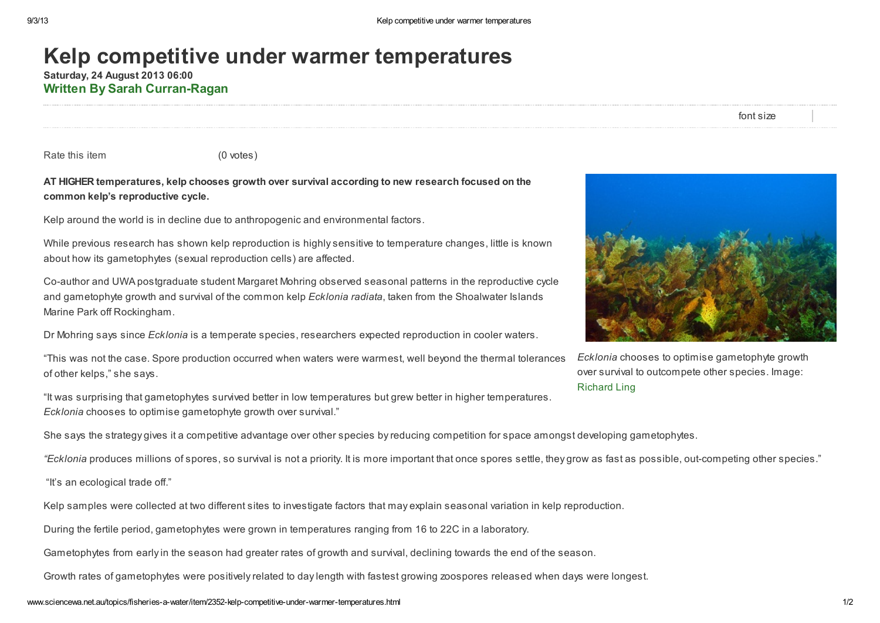## Kelp competitive under warmer temperatures

Saturday, 24 August 2013 06:00 Written By Sarah [Curran-Ragan](http://www.sciencewa.net.au/topics/fisheries-a-water/itemlist/user/644-sarahcurranragan.html)

font size

Rate this item (0 votes)

## AT HIGHER temperatures, kelp chooses growth over survival according to new research focused on the common kelp's reproductive cycle.

Kelp around the world is in decline due to anthropogenic and environmental factors.

While previous research has shown kelp reproduction is highly sensitive to temperature changes, little is known about how its gametophytes (sexual reproduction cells) are affected.

Co-author and UWA postgraduate student Margaret Mohring observed seasonal patterns in the reproductive cycle and gametophyte growth and survival of the common kelp Ecklonia radiata, taken from the Shoalwater Islands Marine Park off Rockingham.

Dr Mohring says since *Ecklonia* is a temperate species, researchers expected reproduction in cooler waters.

"This was not the case. Spore production occurred when waters were warmest, well beyond the thermal tolerances of other kelps," she says.

"It was surprising that gametophytes survived better in low temperatures but grew better in higher temperatures. Ecklonia chooses to optimise gametophyte growth over survival."



Ecklonia chooses to optimise gametophyte growth over survival to outcompete other species. Image: [Richard](http://www.flickr.com/photos/rling/4596388545/) Ling

She says the strategy gives it a competitive advantage over other species by reducing competition for space amongst developing gametophytes.

"Ecklonia produces millions of spores, so survival is not a priority. It is more important that once spores settle, they grow as fast as possible, out-competing other species."

"It's an ecological trade off."

Kelp samples were collected at two different sites to investigate factors that may explain seasonal variation in kelp reproduction.

During the fertile period, gametophytes were grown in temperatures ranging from 16 to 22C in a laboratory.

Gametophytes from early in the season had greater rates of growth and survival, declining towards the end of the season.

Growth rates of gametophytes were positively related to day length with fastest growing zoospores released when days were longest.